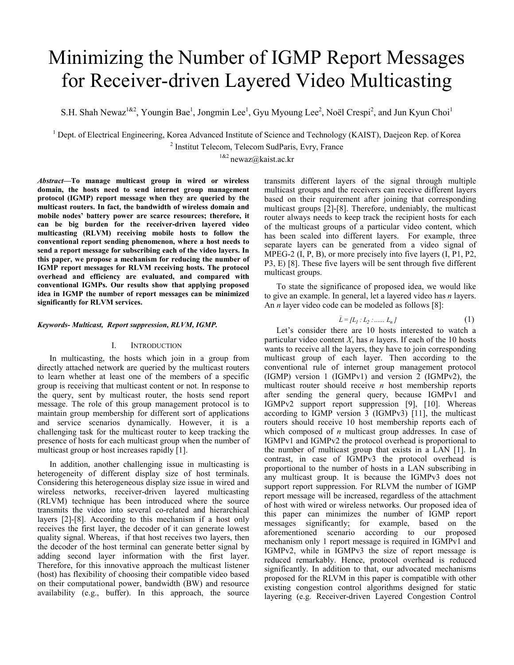# Minimizing the Number of IGMP Report Messages for Receiver-driven Layered Video Multicasting

S.H. Shah Newaz<sup>1&2</sup>, Youngin Bae<sup>1</sup>, Jongmin Lee<sup>1</sup>, Gyu Myoung Lee<sup>2</sup>, Noël Crespi<sup>2</sup>, and Jun Kyun Choi<sup>1</sup>

<sup>1</sup> Dept. of Electrical Engineering, Korea Advanced Institute of Science and Technology (KAIST), Daejeon Rep. of Korea  $\frac{2}{1}$  Institut Telecom, Telecom SudParis, Evry, France

 $1&2$  newaz@kaist.ac.kr

*Abstract***—To manage multicast group in wired or wireless domain, the hosts need to send internet group management protocol (IGMP) report message when they are queried by the multicast routers. In fact, the bandwidth of wireless domain and mobile nodes' battery power are scarce resources; therefore, it can be big burden for the receiver-driven layered video multicasting (RLVM) receiving mobile hosts to follow the conventional report sending phenomenon, where a host needs to send a report message for subscribing each of the video layers. In this paper, we propose a mechanism for reducing the number of IGMP report messages for RLVM receiving hosts. The protocol overhead and efficiency are evaluated, and compared with conventional IGMPs. Our results show that applying proposed idea in IGMP the number of report messages can be minimized significantly for RLVM services.** 

#### *Keywords- Multicast, Report suppression, RLVM, IGMP.*

## I. INTRODUCTION

In multicasting, the hosts which join in a group from directly attached network are queried by the multicast routers to learn whether at least one of the members of a specific group is receiving that multicast content or not. In response to the query, sent by multicast router, the hosts send report message. The role of this group management protocol is to maintain group membership for different sort of applications and service scenarios dynamically. However, it is a challenging task for the multicast router to keep tracking the presence of hosts for each multicast group when the number of multicast group or host increases rapidly [1].

In addition, another challenging issue in multicasting is heterogeneity of different display size of host terminals. Considering this heterogeneous display size issue in wired and wireless networks, receiver-driven layered multicasting (RLVM) technique has been introduced where the source transmits the video into several co-related and hierarchical layers [2]-[8]. According to this mechanism if a host only receives the first layer, the decoder of it can generate lowest quality signal. Whereas, if that host receives two layers, then the decoder of the host terminal can generate better signal by adding second layer information with the first layer. Therefore, for this innovative approach the multicast listener (host) has flexibility of choosing their compatible video based on their computational power, bandwidth (BW) and resource availability (e.g., buffer). In this approach, the source

transmits different layers of the signal through multiple multicast groups and the receivers can receive different layers based on their requirement after joining that corresponding multicast groups [2]-[8]. Therefore, undeniably, the multicast router always needs to keep track the recipient hosts for each of the multicast groups of a particular video content, which has been scaled into different layers. For example, three separate layers can be generated from a video signal of MPEG-2 (I, P, B), or more precisely into five layers (I, P1, P2, P3, E) [8]. These five layers will be sent through five different multicast groups.

To state the significance of proposed idea, we would like to give an example. In general, let a layered video has *n* layers. An *n* layer video code can be modeled as follows [8]:

$$
\bar{L} = [L_1 : L_2 : \dots : L_n]
$$
 (1)

Let's consider there are 10 hosts interested to watch a particular video content  $X$ , has  $n$  layers. If each of the 10 hosts wants to receive all the layers, they have to join corresponding multicast group of each layer. Then according to the conventional rule of internet group management protocol (IGMP) version 1 (IGMPv1) and version 2 (IGMPv2), the multicast router should receive *n* host membership reports after sending the general query, because IGMPv1 and IGMPv2 support report suppression [9], [10]. Whereas according to  $\overline{1}$ GMP version  $\overline{3}$  (IGMPv3) [11], the multicast routers should receive 10 host membership reports each of which composed of *n* multicast group addresses. In case of IGMPv1 and IGMPv2 the protocol overhead is proportional to the number of multicast group that exists in a LAN [1]. In contrast, in case of IGMPv3 the protocol overhead is proportional to the number of hosts in a LAN subscribing in any multicast group. It is because the IGMPv3 does not support report suppression. For RLVM the number of IGMP report message will be increased, regardless of the attachment of host with wired or wireless networks. Our proposed idea of this paper can minimizes the number of IGMP report messages significantly; for example, based on the aforementioned scenario according to our proposed mechanism only 1 report message is required in IGMPv1 and IGMPv2, while in IGMPv3 the size of report message is reduced remarkably. Hence, protocol overhead is reduced significantly. In addition to that, our advocated mechanisms proposed for the RLVM in this paper is compatible with other existing congestion control algorithms designed for static layering (e.g. Receiver-driven Layered Congestion Control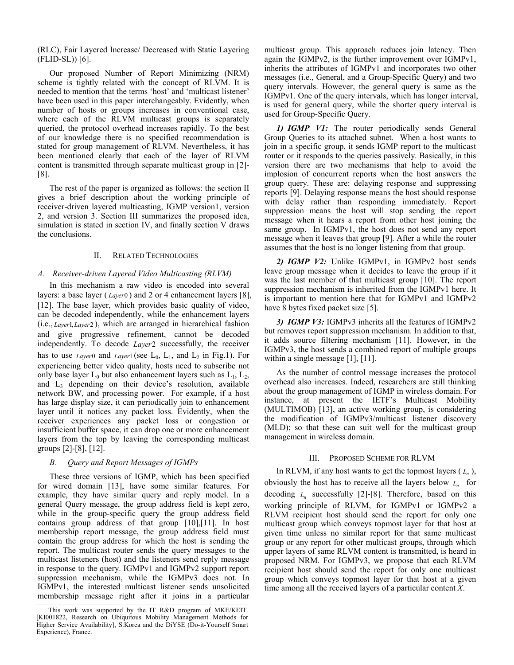(RLC), Fair Layered Increase/ Decreased with Static Layering (FLID-SL)) [6].

Our proposed Number of Report Minimizing (NRM) scheme is tightly related with the concept of RLVM. It is needed to mention that the terms 'host' and 'multicast listener' have been used in this paper interchangeably. Evidently, when number of hosts or groups increases in conventional case, where each of the RLVM multicast groups is separately queried, the protocol overhead increases rapidly. To the best of our knowledge there is no specified recommendation is stated for group management of RLVM. Nevertheless, it has been mentioned clearly that each of the layer of RLVM content is transmitted through separate multicast group in [2]- [8].

The rest of the paper is organized as follows: the section II gives a brief description about the working principle of receiver-driven layered multicasting, IGMP version1, version 2, and version 3. Section III summarizes the proposed idea, simulation is stated in section IV, and finally section V draws the conclusions.

## II. RELATED TECHNOLOGIES

## *A. Receiver-driven Layered Video Multicasting (RLVM)*

In this mechanism a raw video is encoded into several layers: a base layer ( *Layer*0 ) and 2 or 4 enhancement layers [8], [12]. The base layer, which provides basic quality of video, can be decoded independently, while the enhancement layers (i.e., *Layer* 1, *Layer* 2), which are arranged in hierarchical fashion and give progressive refinement, cannot be decoded independently. To decode *Layer*2 successfully, the receiver has to use *Layer*0 and *Layer*1 (see  $L_0$ ,  $L_1$ , and  $L_2$  in Fig.1). For experiencing better video quality, hosts need to subscribe not only base layer  $L_0$  but also enhancement layers such as  $L_1$ ,  $L_2$ , and  $L<sub>3</sub>$  depending on their device's resolution, available network BW, and processing power. For example, if a host has large display size, it can periodically join to enhancement layer until it notices any packet loss. Evidently, when the receiver experiences any packet loss or congestion or insufficient buffer space, it can drop one or more enhancement layers from the top by leaving the corresponding multicast groups [2]-[8], [12].

#### *B. Query and Report Messages of IGMPs*

These three versions of IGMP, which has been specified for wired domain [13], have some similar features. For example, they have similar query and reply model. In a general Query message, the group address field is kept zero, while in the group-specific query the group address field contains group address of that group [10],[11]. In host membership report message, the group address field must contain the group address for which the host is sending the report. The multicast router sends the query messages to the multicast listeners (host) and the listeners send reply message in response to the query. IGMPv1 and IGMPv2 support report suppression mechanism, while the IGMPv3 does not. In IGMPv1, the interested multicast listener sends unsolicited membership message right after it joins in a particular multicast group. This approach reduces join latency. Then again the IGMPv2, is the further improvement over IGMPv1, inherits the attributes of IGMPv1 and incorporates two other messages (i.e., General, and a Group-Specific Query) and two query intervals. However, the general query is same as the IGMPv1. One of the query intervals, which has longer interval, is used for general query, while the shorter query interval is used for Group-Specific Query.

*1) IGMP V1:* The router periodically sends General Group Queries to its attached subnet. When a host wants to join in a specific group, it sends IGMP report to the multicast router or it responds to the queries passively. Basically, in this version there are two mechanisms that help to avoid the implosion of concurrent reports when the host answers the group query. These are: delaying response and suppressing reports [9]. Delaying response means the host should response with delay rather than responding immediately. Report suppression means the host will stop sending the report message when it hears a report from other host joining the same group. In IGMPv1, the host does not send any report message when it leaves that group [9]. After a while the router assumes that the host is no longer listening from that group.

*2) IGMP V2:* Unlike IGMPv1, in IGMPv2 host sends leave group message when it decides to leave the group if it was the last member of that multicast group [10]. The report suppression mechanism is inherited from the IGMPv1 here. It is important to mention here that for IGMPv1 and IGMPv2 have 8 bytes fixed packet size [5].

*3) IGMP V3:* IGMPv3 inherits all the features of IGMPv2 but removes report suppression mechanism. In addition to that, it adds source filtering mechanism [11]. However, in the IGMPv3, the host sends a combined report of multiple groups within a single message [1], [11].

As the number of control message increases the protocol overhead also increases. Indeed, researchers are still thinking about the group management of IGMP in wireless domain. For instance, at present the IETF's Multicast Mobility (MULTIMOB) [13], an active working group, is considering the modification of IGMPv3/multicast listener discovery (MLD); so that these can suit well for the multicast group management in wireless domain.

#### III. PROPOSED SCHEME FOR RLVM

In RLVM, if any host wants to get the topmost layers  $(L_n)$ , obviously the host has to receive all the layers below  $L_n$  for decoding  $L_n$  successfully [2]-[8]. Therefore, based on this working principle of RLVM, for IGMPv1 or IGMPv2 a RLVM recipient host should send the report for only one multicast group which conveys topmost layer for that host at given time unless no similar report for that same multicast group or any report for other multicast groups, through which upper layers of same RLVM content is transmitted, is heard in proposed NRM. For IGMPv3, we propose that each RLVM recipient host should send the report for only one multicast group which conveys topmost layer for that host at a given time among all the received layers of a particular content *X*.

This work was supported by the IT R&D program of MKE/KEIT. [KI001822, Research on Ubiquitous Mobility Management Methods for Higher Service Availability], S.Korea and the DiYSE (Do-it-Yourself Smart Experience), France.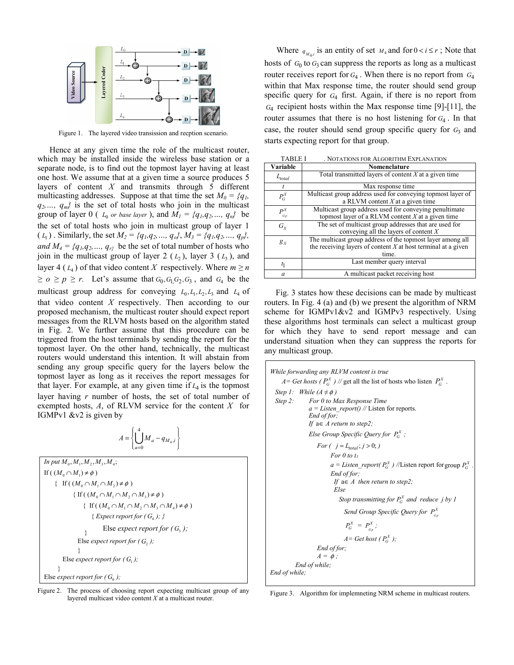

Figure 1. The layered video transission and recption scenario.

Hence at any given time the role of the multicast router, which may be installed inside the wireless base station or a separate node, is to find out the topmost layer having at least one host. We assume that at a given time a source produces 5 layers of content *X* and transmits through 5 different multicasting addresses. Suppose at that time the set  $M_0 = \{q_1, q_2\}$  $q_2, ..., q_m$  is the set of total hosts who join in the multicast group of layer 0 ( $L_0$  *or base layer*), and  $M_1 = \{q_1, q_2, ..., q_n\}$  be the set of total hosts who join in multicast group of layer 1  $(L_1)$ . Similarly, the set  $M_2 = \{q_1, q_2, ..., q_o\}, M_3 = \{q_1, q_2, ..., q_p\},$ *and*  $M_4 = \{q_1, q_2, \dots, q_{r}\}$  be the set of total number of hosts who join in the multicast group of layer 2  $(L_2)$ , layer 3  $(L_3)$ , and layer 4 ( $L_4$ ) of that video content *X* respectively. Where  $m \ge n$  $\geq$  *o*  $\geq$  *p*  $\geq$  *r.* Let's assume that  $G_0$ ,  $G_1$   $G_2$ ,  $G_3$ , and  $G_4$  be the multicast group address for conveying  $L_0, L_1, L_2, L_3$  and  $L_4$  of that video content *X* respectively. Then according to our proposed mechanism, the multicast router should expect report messages from the RLVM hosts based on the algorithm stated in Fig. 2. We further assume that this procedure can be triggered from the host terminals by sending the report for the topmost layer. On the other hand, technically, the multicast routers would understand this intention. It will abstain from sending any group specific query for the layers below the topmost layer as long as it receives the report messages for that layer. For example, at any given time if  $L_4$  is the topmost layer having *r* number of hosts, the set of total number of exempted hosts,  $A$ , of RLVM service for the content  $X$  for IGMPv1 &v2 is given by

$$
A = \left\{ \bigcup_{a=0}^{4} M_a - q_{M_4, i} \right\}
$$

 $In put M_0, M_1, M_2, M_3, M_4;$ If  $((M_0 \cap M_1) \neq \emptyset)$ { If  $((M_0 \cap M_1 \cap M_2) \neq \emptyset)$ { If  $((M_0 \cap M_1 \cap M_2 \cap M_3) \neq \emptyset)$  $\{ \text{ If } ((M_0 \cap M_1 \cap M_2 \cap M_3 \cap M_4) \neq \emptyset)$  ${$ *Expect report for (*  $G<sub>A</sub>$ *)*;  $}$ } Else *expect report for*  $(G, )$ ; } Else *expect report for*  $(G_1)$ ;  $\rightarrow$ Else *expect report for* ( $G_0$ ); Else *expect report for*  $(G_3)$ ;

Figure 2. The process of choosing report expecting multicast group of any layered multicast video content *X* at a multicast router.

Where  $q_{M,i}$  is an entity of set  $M_4$  and for  $0 < i \le r$ ; Note that hosts of  $G_0$  to  $G_3$  can suppress the reports as long as a multicast router receives report for  $G_4$ . When there is no report from  $G_4$ within that Max response time, the router should send group specific query for *G*4 first. Again, if there is no report from *<sup>G</sup>*4 recipient hosts within the Max response time [9]-[11], the router assumes that there is no host listening for *<sup>G</sup>*<sup>4</sup> . In that case, the router should send group specific query for  $G_3$  and starts expecting report for that group.

| <b>TABLE I</b> | . NOTATIONS FOR ALGORITHM EXPLANATION                                                                                                  |
|----------------|----------------------------------------------------------------------------------------------------------------------------------------|
| Variable       | Nomenclature                                                                                                                           |
| $L_{total}$    | Total transmitted layers of content $X$ at a given time                                                                                |
| t              | Max response time                                                                                                                      |
| $P_G^X$        | Multicast group address used for conveying topmost layer of<br>a RLVM content $X$ at a given time                                      |
| $P^X_{_{G_p}}$ | Multicast group address used for conveying penultimate<br>topmost layer of a RLVM content $X$ at a given time                          |
| $G_{Y}$        | The set of multicast group addresses that are used for<br>conveying all the layers of content $X$                                      |
| $g_{X}$        | The multicast group address of the topmost layer among all<br>the receiving layers of content $X$ at host terminal at a given<br>time. |
| $t_1$          | Last member query interval                                                                                                             |
| a              | A multicast packet receiving host                                                                                                      |

 Fig. 3 states how these decisions can be made by multicast routers. In Fig. 4 (a) and (b) we present the algorithm of NRM scheme for IGMPv1&v2 and IGMPv3 respectively. Using these algorithms host terminals can select a multicast group for which they have to send report message and can understand situation when they can suppress the reports for any multicast group.

*While forwarding any RLVM content is true A* = *Get hosts (* $P_G^X$ *)* // get all the list of hosts who listen  $P_G^X$ . *Step 1: While*  $(A \neq \phi)$  *Step 2: For 0 to Max Response Time*   $a = Listen\_report()$  // Listen for reports.  *End of for; If*  $a \in A$  *return to step2*; *Else Group Specific Query for*  $P_G^X$ ; *For*  $(j = L_{total}; j > 0; j)$  *For 0 to t1*  $a = Listen\_report(P_G^X)$  //Listen report for group  $P_G^X$ .  *End of for; If*  $a \in A$  *then return to step2*;  *Else Stop transmitting for*  $P_G^X$  *and reduce j by* 1 *Send Group Specific Query for*  $P_{G_p}^X$  $P_G^X \; = \; P_{_{G_p}}^X$  ;  $A = Get host(P_G^X);$  *End of for;*   $A = \phi$ ;  *End of while; End of while;*

Figure 3. Algorithm for implemneting NRM scheme in multicast routers.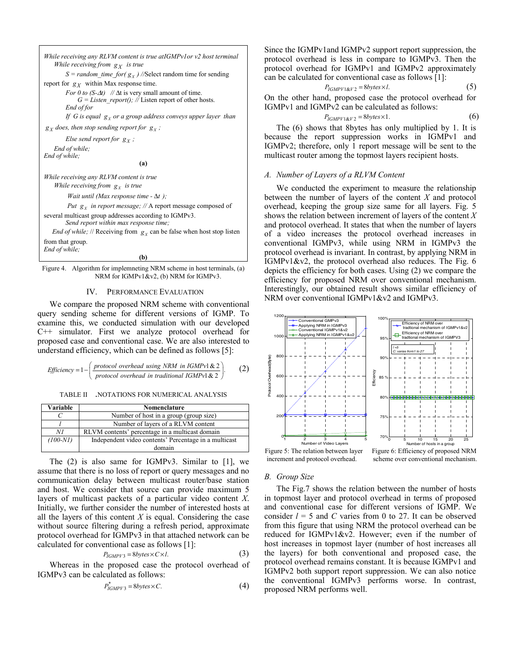```
While receiving any RLVM content is true atIGMPv1or v2 host terminal 
     While receiving from gX is true 
        S = random_time_for( g_X) //Select random time for sending
report for g_X within Max response time.
        For 0 to (S-\Delta t) // \Delta t is very small amount of time.
             G = Listen report(); // Listen report of other hosts. End of for 
        If G is equal g_X or a group address conveys upper layer than
g_X does, then stop sending report for g_X;
        Else send report for g_X;
    End of while; 
End of while; 
                                     (a) 
While receiving any RLVM content is true 
    While receiving from g<sub>x</sub> is true
          Wait until (Max response time - Δt ); 
         Put g<sub>x</sub> in report message; // A report message composed of
several multicast group addresses according to IGMPv3. 
         Send report within max response time; 
   End of while; // Receiving from g<sub>x</sub> can be false when host stop listen
```
from that group. *End of while;* 

**(b)**

Figure 4. Algorithm for implemneting NRM scheme in host terminals, (a) NRM for IGMPv1&v2, (b) NRM for IGMPv3.

#### IV. PERFORMANCE EVALUATION

We compare the proposed NRM scheme with conventional query sending scheme for different versions of IGMP. To examine this, we conducted simulation with our developed C++ simulator. First we analyze protocol overhead for proposed case and conventional case. We are also interested to understand efficiency, which can be defined as follows [5]:

*Efficiency* = 
$$
1 - \left(\frac{protocol overhead using NRM in IGMPv1 \& 2}{protocol overhead in traditional IGMPv1 \& 2}\right)
$$
. (2)

TABLE II *.*NOTATIONS FOR NUMERICAL ANALYSIS

| Variable   | Nomenclature                                          |
|------------|-------------------------------------------------------|
|            | Number of host in a group (group size)                |
|            | Number of layers of a RLVM content                    |
| ΝI         | RLVM contents' percentage in a multicast domain       |
| $(100-NI)$ | Independent video contents' Percentage in a multicast |
|            | domain                                                |

The  $(2)$  is also same for IGMPv3. Similar to  $[1]$ , we assume that there is no loss of report or query messages and no communication delay between multicast router/base station and host. We consider that source can provide maximum 5 layers of multicast packets of a particular video content *X*. Initially, we further consider the number of interested hosts at all the layers of this content  $X$  is equal. Considering the case without source filtering during a refresh period, approximate protocol overhead for IGMPv3 in that attached network can be calculated for conventional case as follows [1]:

$$
P_{IGMPV3} = 8 bytes \times C \times l. \tag{3}
$$

Whereas in the proposed case the protocol overhead of IGMPv3 can be calculated as follows:

$$
P_{IGMPV3}^* = 8bytes \times C.
$$
 (4)

Since the IGMPv1and IGMPv2 support report suppression, the protocol overhead is less in compare to IGMPv3. Then the protocol overhead for IGMPv1 and IGMPv2 approximately can be calculated for conventional case as follows [1]:

$$
P_{IGMPV1\&V2} = 8bytes \times l. \tag{5}
$$

On the other hand, proposed case the protocol overhead for IGMPv1 and IGMPv2 can be calculated as follows:

$$
P_{IGMPV1\&V2} = 8bytes \times 1. \tag{6}
$$

The (6) shows that 8bytes has only multiplied by 1. It is because the report suppression works in IGMPv1 and IGMPv2; therefore, only 1 report message will be sent to the multicast router among the topmost layers recipient hosts.

## *A. Number of Layers of a RLVM Content*

We conducted the experiment to measure the relationship between the number of layers of the content *X* and protocol overhead, keeping the group size same for all layers. Fig. 5 shows the relation between increment of layers of the content *X* and protocol overhead. It states that when the number of layers of a video increases the protocol overhead increases in conventional IGMPv3, while using NRM in IGMPv3 the protocol overhead is invariant. In contrast, by applying NRM in IGMPv1&v2, the protocol overhead also reduces. The Fig. 6 depicts the efficiency for both cases. Using (2) we compare the efficiency for proposed NRM over conventional mechanism. Interestingly, our obtained result shows similar efficiency of NRM over conventional IGMPv1&v2 and IGMPv3.



increment and protocol overhead.



## *B. Group Size*

The Fig.7 shows the relation between the number of hosts in topmost layer and protocol overhead in terms of proposed and conventional case for different versions of IGMP. We consider  $l = 5$  and *C* varies from 0 to 27. It can be observed from this figure that using NRM the protocol overhead can be reduced for IGMPv1&v2. However; even if the number of host increases in topmost layer (number of host increases all the layers) for both conventional and proposed case, the protocol overhead remains constant. It is because IGMPv1 and IGMPv2 both support report suppression. We can also notice the conventional IGMPv3 performs worse. In contrast, proposed NRM performs well.